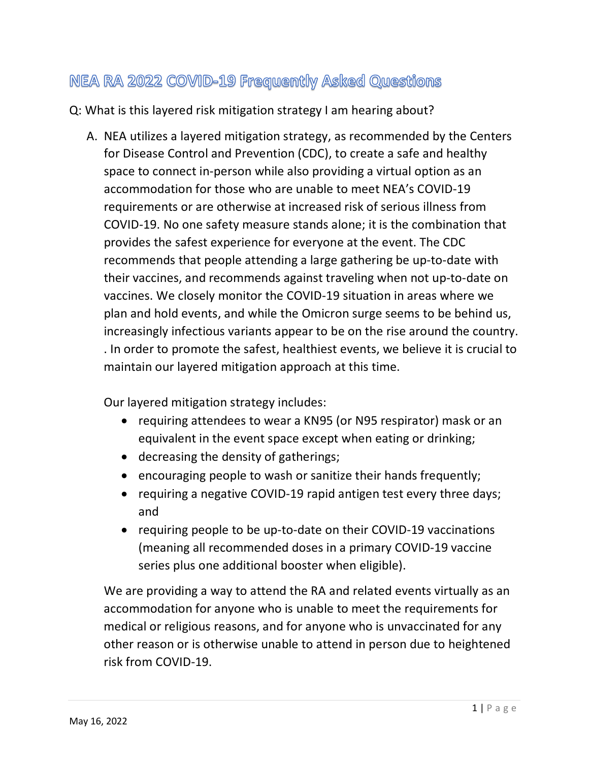## NEA RA 2022 COVID-19 Frequently Asked Questions

Q: What is this layered risk mitigation strategy I am hearing about?

A. NEA utilizes a layered mitigation strategy, as recommended by the Centers for Disease Control and Prevention (CDC), to create a safe and healthy space to connect in-person while also providing a virtual option as an accommodation for those who are unable to meet NEA's COVID-19 requirements or are otherwise at increased risk of serious illness from COVID-19. No one safety measure stands alone; it is the combination that provides the safest experience for everyone at the event. The CDC recommends that people attending a large gathering be up-to-date with their vaccines, and recommends against traveling when not up-to-date on vaccines. We closely monitor the COVID-19 situation in areas where we plan and hold events, and while the Omicron surge seems to be behind us, increasingly infectious variants appear to be on the rise around the country. . In order to promote the safest, healthiest events, we believe it is crucial to maintain our layered mitigation approach at this time.

Our layered mitigation strategy includes:

- requiring attendees to wear a KN95 (or N95 respirator) mask or an equivalent in the event space except when eating or drinking;
- decreasing the density of gatherings;
- encouraging people to wash or sanitize their hands frequently;
- requiring a negative COVID-19 rapid antigen test every three days; and
- requiring people to be up-to-date on their COVID-19 vaccinations (meaning all recommended doses in a primary COVID-19 vaccine series plus one additional booster when eligible).

We are providing a way to attend the RA and related events virtually as an accommodation for anyone who is unable to meet the requirements for medical or religious reasons, and for anyone who is unvaccinated for any other reason or is otherwise unable to attend in person due to heightened risk from COVID-19.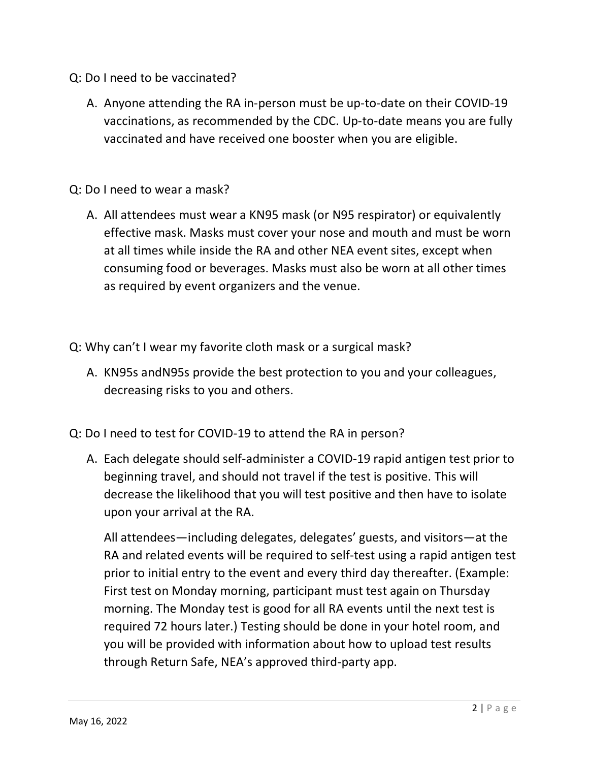- Q: Do I need to be vaccinated?
	- A. Anyone attending the RA in-person must be up-to-date on their COVID-19 vaccinations, as recommended by the CDC. Up-to-date means you are fully vaccinated and have received one booster when you are eligible.
- Q: Do I need to wear a mask?
	- A. All attendees must wear a KN95 mask (or N95 respirator) or equivalently effective mask. Masks must cover your nose and mouth and must be worn at all times while inside the RA and other NEA event sites, except when consuming food or beverages. Masks must also be worn at all other times as required by event organizers and the venue.
- Q: Why can't I wear my favorite cloth mask or a surgical mask?
	- A. KN95s andN95s provide the best protection to you and your colleagues, decreasing risks to you and others.
- Q: Do I need to test for COVID-19 to attend the RA in person?
	- A. Each delegate should self-administer a COVID-19 rapid antigen test prior to beginning travel, and should not travel if the test is positive. This will decrease the likelihood that you will test positive and then have to isolate upon your arrival at the RA.

All attendees—including delegates, delegates' guests, and visitors—at the RA and related events will be required to self-test using a rapid antigen test prior to initial entry to the event and every third day thereafter. (Example: First test on Monday morning, participant must test again on Thursday morning. The Monday test is good for all RA events until the next test is required 72 hours later.) Testing should be done in your hotel room, and you will be provided with information about how to upload test results through Return Safe, NEA's approved third-party app.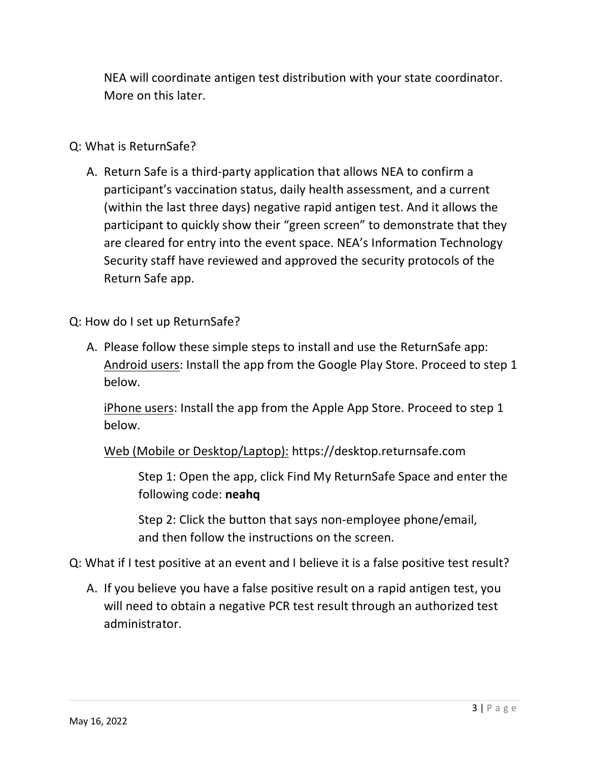NEA will coordinate antigen test distribution with your state coordinator. More on this later.

## Q: What is ReturnSafe?

A. Return Safe is a third-party application that allows NEA to confirm a participant's vaccination status, daily health assessment, and a current (within the last three days) negative rapid antigen test. And it allows the participant to quickly show their "green screen" to demonstrate that they are cleared for entry into the event space. NEA's Information Technology Security staff have reviewed and approved the security protocols of the Return Safe app.

## Q: How do I set up ReturnSafe?

A. Please follow these simple steps to install and use the ReturnSafe app: Android users: Install the app from the Google Play Store. Proceed to step 1 below.

iPhone users: Install the app from the Apple App Store. Proceed to step 1 below.

Web (Mobile or Desktop/Laptop): https://desktop.returnsafe.com

Step 1: Open the app, click Find My ReturnSafe Space and enter the following code: **neahq** 

Step 2: Click the button that says non-employee phone/email, and then follow the instructions on the screen.

- Q: What if I test positive at an event and I believe it is a false positive test result?
	- A. If you believe you have a false positive result on a rapid antigen test, you will need to obtain a negative PCR test result through an authorized test administrator.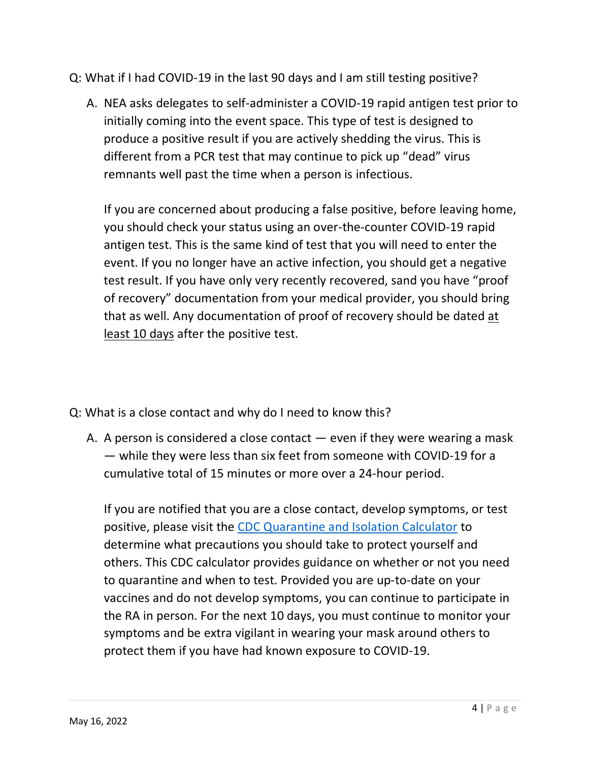Q: What if I had COVID-19 in the last 90 days and I am still testing positive?

A. NEA asks delegates to self-administer a COVID-19 rapid antigen test prior to initially coming into the event space. This type of test is designed to produce a positive result if you are actively shedding the virus. This is different from a PCR test that may continue to pick up "dead" virus remnants well past the time when a person is infectious.

If you are concerned about producing a false positive, before leaving home, you should check your status using an over-the-counter COVID-19 rapid antigen test. This is the same kind of test that you will need to enter the event. If you no longer have an active infection, you should get a negative test result. If you have only very recently recovered, sand you have "proof of recovery" documentation from your medical provider, you should bring that as well. Any documentation of proof of recovery should be dated at least 10 days after the positive test.

- Q: What is a close contact and why do I need to know this?
	- A. A person is considered a close contact even if they were wearing a mask — while they were less than six feet from someone with COVID-19 for a cumulative total of 15 minutes or more over a 24-hour period.

If you are notified that you are a close contact, develop symptoms, or test positive, please visit the [CDC Quarantine and Isolation Calculator](https://www.cdc.gov/coronavirus/2019-ncov/your-health/quarantine-isolation.html) to determine what precautions you should take to protect yourself and others. This CDC calculator provides guidance on whether or not you need to quarantine and when to test. Provided you are up-to-date on your vaccines and do not develop symptoms, you can continue to participate in the RA in person. For the next 10 days, you must continue to monitor your symptoms and be extra vigilant in wearing your mask around others to protect them if you have had known exposure to COVID-19.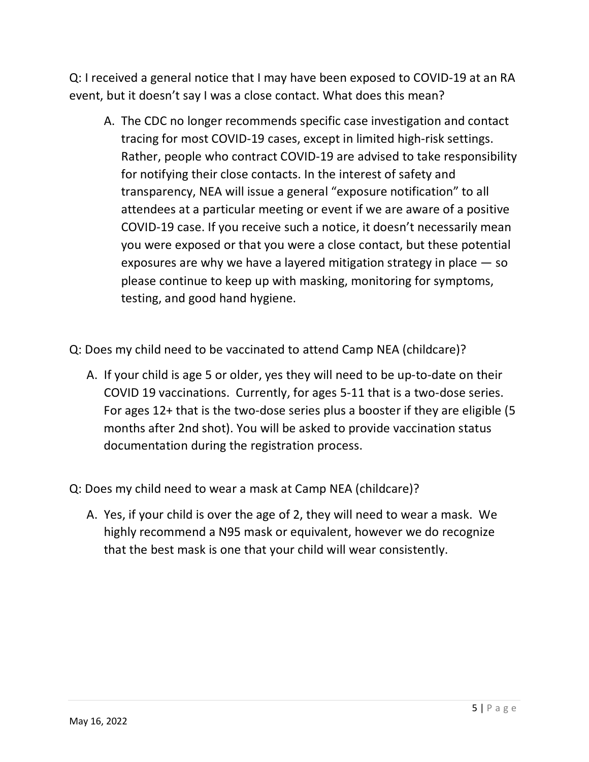Q: I received a general notice that I may have been exposed to COVID-19 at an RA event, but it doesn't say I was a close contact. What does this mean?

- A. The CDC no longer recommends specific case investigation and contact tracing for most COVID-19 cases, except in limited high-risk settings. Rather, people who contract COVID-19 are advised to take responsibility for notifying their close contacts. In the interest of safety and transparency, NEA will issue a general "exposure notification" to all attendees at a particular meeting or event if we are aware of a positive COVID-19 case. If you receive such a notice, it doesn't necessarily mean you were exposed or that you were a close contact, but these potential exposures are why we have a layered mitigation strategy in place — so please continue to keep up with masking, monitoring for symptoms, testing, and good hand hygiene.
- Q: Does my child need to be vaccinated to attend Camp NEA (childcare)?
	- A. If your child is age 5 or older, yes they will need to be up-to-date on their COVID 19 vaccinations. Currently, for ages 5-11 that is a two-dose series. For ages 12+ that is the two-dose series plus a booster if they are eligible (5 months after 2nd shot). You will be asked to provide vaccination status documentation during the registration process.
- Q: Does my child need to wear a mask at Camp NEA (childcare)?
	- A. Yes, if your child is over the age of 2, they will need to wear a mask. We highly recommend a N95 mask or equivalent, however we do recognize that the best mask is one that your child will wear consistently.